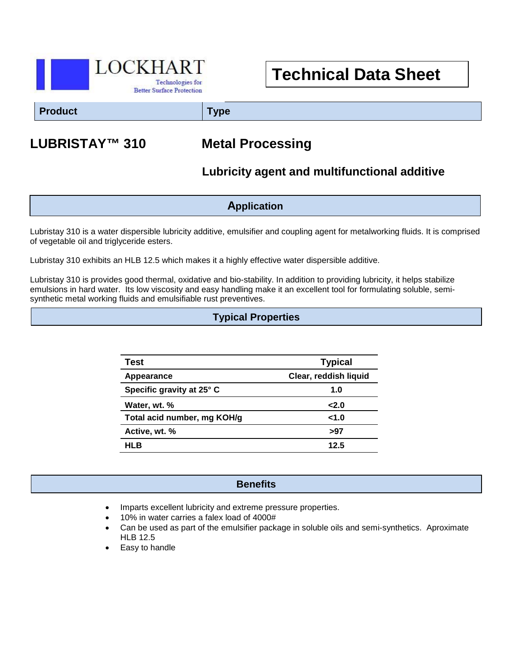

# **Technical Data Sheet**

**Product Type**

## **LUBRISTAY™ 310 Metal Processing**

## **Lubricity agent and multifunctional additive**

**Application**

Lubristay 310 is a water dispersible lubricity additive, emulsifier and coupling agent for metalworking fluids. It is comprised of vegetable oil and triglyceride esters.

Lubristay 310 exhibits an HLB 12.5 which makes it a highly effective water dispersible additive.

Lubristay 310 is provides good thermal, oxidative and bio-stability. In addition to providing lubricity, it helps stabilize emulsions in hard water. Its low viscosity and easy handling make it an excellent tool for formulating soluble, semisynthetic metal working fluids and emulsifiable rust preventives.

### **Typical Properties**

| Test                        | <b>Typical</b>        |
|-----------------------------|-----------------------|
| Appearance                  | Clear, reddish liquid |
| Specific gravity at 25° C   | 1.0                   |
| Water, wt. %                | 2.0                   |
| Total acid number, mg KOH/g | 1.0                   |
| Active, wt. %               | >97                   |
| HLB                         | 12.5                  |

#### **Benefits**

- Imparts excellent lubricity and extreme pressure properties.
- 10% in water carries a falex load of 4000#
- Can be used as part of the emulsifier package in soluble oils and semi-synthetics. Aproximate HLB 12.5
- Easy to handle